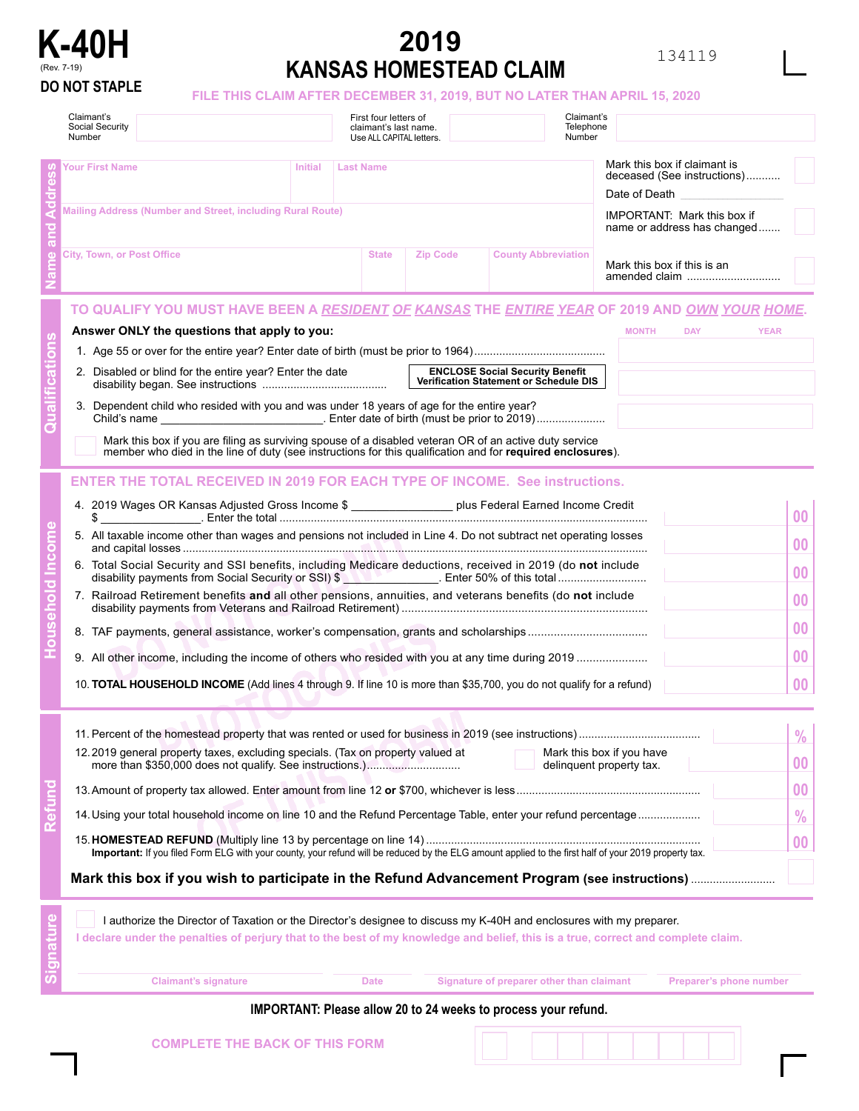

## **2019 KANSAS HOMESTEAD CLAIM**

134119

|  | O NOT STAPLE |  |
|--|--------------|--|
|  |              |  |

## **DO NOT STAPLE FILE THIS CLAIM AFTER DECEMBER 31, 2019, BUT NO LATER THAN APRIL 15, 2020**

|  | Claimant's<br>Social Security<br>Number                                                                                                                                                                                                                   |                                                                                                                                                                                                                      | First four letters of<br>claimant's last name.<br>Use ALL CAPITAL letters. |                 | Claimant's<br>Telephone<br>Number                             |                                                                              |               |  |
|--|-----------------------------------------------------------------------------------------------------------------------------------------------------------------------------------------------------------------------------------------------------------|----------------------------------------------------------------------------------------------------------------------------------------------------------------------------------------------------------------------|----------------------------------------------------------------------------|-----------------|---------------------------------------------------------------|------------------------------------------------------------------------------|---------------|--|
|  | <b>Your First Name</b>                                                                                                                                                                                                                                    | <b>Initial</b>                                                                                                                                                                                                       | Last Name                                                                  |                 |                                                               | Mark this box if claimant is<br>deceased (See instructions)<br>Date of Death |               |  |
|  | Mailing Address (Number and Street, including Rural Route)<br><b>IMPORTANT: Mark this box if</b><br>name or address has changed                                                                                                                           |                                                                                                                                                                                                                      |                                                                            |                 |                                                               |                                                                              |               |  |
|  | <b>City, Town, or Post Office</b>                                                                                                                                                                                                                         |                                                                                                                                                                                                                      | <b>State</b>                                                               | <b>Zip Code</b> | <b>County Abbreviation</b>                                    | Mark this box if this is an<br>amended claim                                 |               |  |
|  | TO QUALIFY YOU MUST HAVE BEEN A <u>RESIDENT OF KANSAS</u> THE <u>ENTIRE YEAR</u> OF 2019 AND <u>OWN YOUR HOME</u> .                                                                                                                                       |                                                                                                                                                                                                                      |                                                                            |                 |                                                               |                                                                              |               |  |
|  | Answer ONLY the questions that apply to you:                                                                                                                                                                                                              |                                                                                                                                                                                                                      |                                                                            |                 |                                                               | <b>MONTH</b><br><b>DAY</b><br><b>YEAR</b>                                    |               |  |
|  | <b>ENCLOSE Social Security Benefit</b><br>2. Disabled or blind for the entire year? Enter the date<br>Verification Statement or Schedule DIS                                                                                                              |                                                                                                                                                                                                                      |                                                                            |                 |                                                               |                                                                              |               |  |
|  | 3. Dependent child who resided with you and was under 18 years of age for the entire year?                                                                                                                                                                |                                                                                                                                                                                                                      |                                                                            |                 |                                                               |                                                                              |               |  |
|  |                                                                                                                                                                                                                                                           | Mark this box if you are filing as surviving spouse of a disabled veteran OR of an active duty service<br>member who died in the line of duty (see instructions for this qualification and for required enclosures). |                                                                            |                 |                                                               |                                                                              |               |  |
|  | <b>ENTER THE TOTAL RECEIVED IN 2019 FOR EACH TYPE OF INCOME. See instructions.</b>                                                                                                                                                                        |                                                                                                                                                                                                                      |                                                                            |                 |                                                               |                                                                              |               |  |
|  | 4. 2019 Wages OR Kansas Adjusted Gross Income \$ ___________________ plus Federal Earned Income Credit<br>\$                                                                                                                                              |                                                                                                                                                                                                                      | 00                                                                         |                 |                                                               |                                                                              |               |  |
|  | 5. All taxable income other than wages and pensions not included in Line 4. Do not subtract net operating losses                                                                                                                                          |                                                                                                                                                                                                                      | 00                                                                         |                 |                                                               |                                                                              |               |  |
|  | 6. Total Social Security and SSI benefits, including Medicare deductions, received in 2019 (do not include<br>disability payments from Social Security or SSI) \$                                                                                         |                                                                                                                                                                                                                      | 00                                                                         |                 |                                                               |                                                                              |               |  |
|  | 7. Railroad Retirement benefits and all other pensions, annuities, and veterans benefits (do not include                                                                                                                                                  |                                                                                                                                                                                                                      | 00                                                                         |                 |                                                               |                                                                              |               |  |
|  |                                                                                                                                                                                                                                                           |                                                                                                                                                                                                                      | 00                                                                         |                 |                                                               |                                                                              |               |  |
|  |                                                                                                                                                                                                                                                           |                                                                                                                                                                                                                      | 0 <sub>0</sub>                                                             |                 |                                                               |                                                                              |               |  |
|  | 10. <b>TOTAL HOUSEHOLD INCOME</b> (Add lines 4 through 9. If line 10 is more than \$35,700, you do not qualify for a refund)                                                                                                                              |                                                                                                                                                                                                                      | 00                                                                         |                 |                                                               |                                                                              |               |  |
|  | 11. Percent of the homestead property that was rented or used for business in 2019 (see instructions)                                                                                                                                                     |                                                                                                                                                                                                                      |                                                                            |                 |                                                               |                                                                              | $\frac{0}{0}$ |  |
|  | 12.2019 general property taxes, excluding specials. (Tax on property valued at                                                                                                                                                                            | Mark this box if you have<br>delinquent property tax.                                                                                                                                                                | 00                                                                         |                 |                                                               |                                                                              |               |  |
|  |                                                                                                                                                                                                                                                           |                                                                                                                                                                                                                      | 0 <sub>0</sub>                                                             |                 |                                                               |                                                                              |               |  |
|  | 14. Using your total household income on line 10 and the Refund Percentage Table, enter your refund percentage                                                                                                                                            |                                                                                                                                                                                                                      | $\frac{0}{0}$                                                              |                 |                                                               |                                                                              |               |  |
|  | Important: If you filed Form ELG with your county, your refund will be reduced by the ELG amount applied to the first half of your 2019 property tax.                                                                                                     |                                                                                                                                                                                                                      | 00                                                                         |                 |                                                               |                                                                              |               |  |
|  |                                                                                                                                                                                                                                                           |                                                                                                                                                                                                                      |                                                                            |                 |                                                               |                                                                              |               |  |
|  | I authorize the Director of Taxation or the Director's designee to discuss my K-40H and enclosures with my preparer.<br>I declare under the penalties of perjury that to the best of my knowledge and belief, this is a true, correct and complete claim. |                                                                                                                                                                                                                      |                                                                            |                 |                                                               |                                                                              |               |  |
|  | <b>Claimant's signature</b>                                                                                                                                                                                                                               |                                                                                                                                                                                                                      | <b>Date</b>                                                                |                 | Signature of preparer other than claimant                     | Preparer's phone number                                                      |               |  |
|  |                                                                                                                                                                                                                                                           |                                                                                                                                                                                                                      |                                                                            |                 | IMDODTANT: Digase allow 20 to 24 weeks to process vour refund |                                                                              |               |  |

## **IMPORTANT: Please allow 20 to 24 weeks to process your refund.**